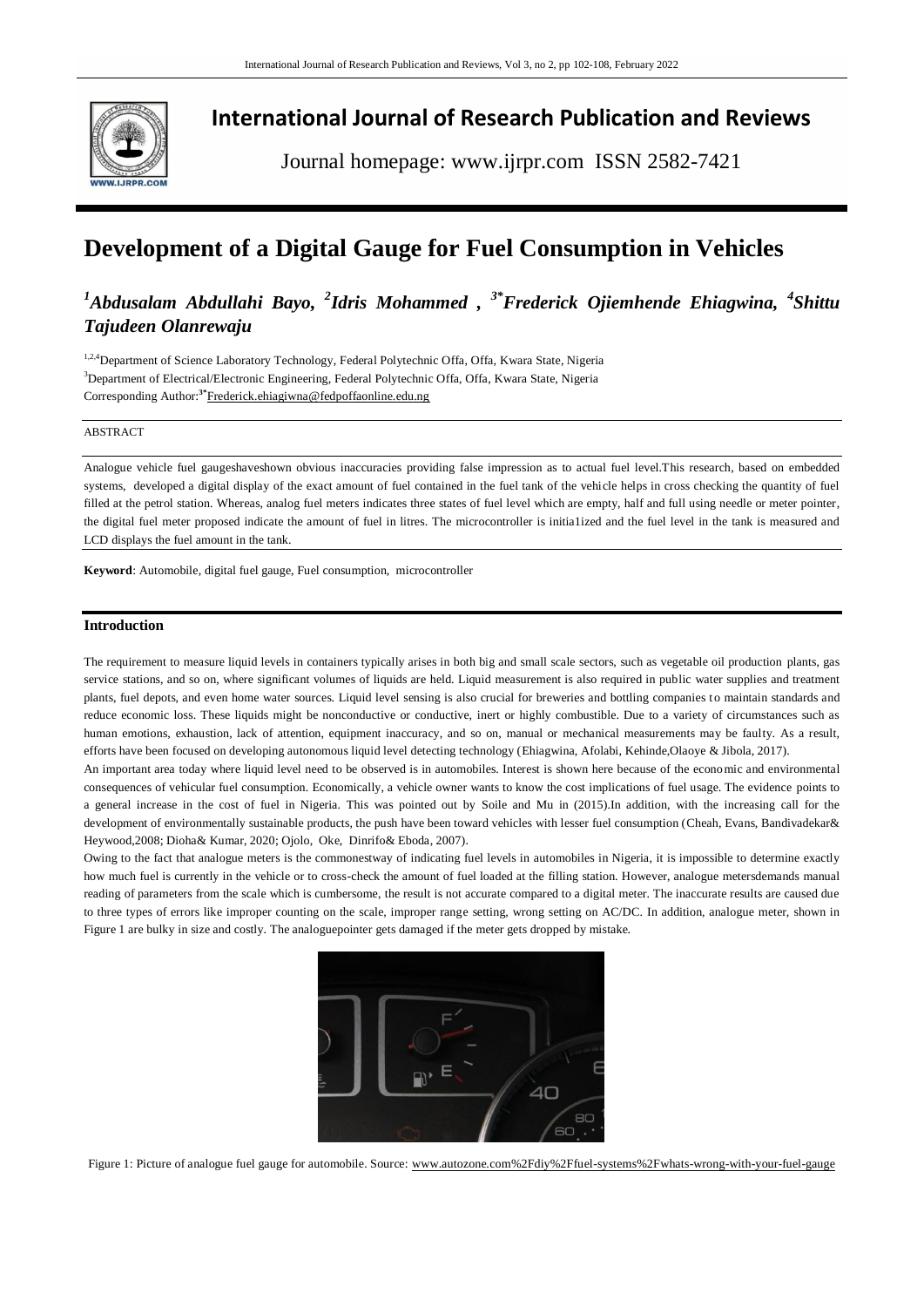

## **International Journal of Research Publication and Reviews**

Journal homepage: www.ijrpr.com ISSN 2582-7421

# **Development of a Digital Gauge for Fuel Consumption in Vehicles**

## <sup>1</sup>Abdusalam Abdullahi Bayo, <sup>2</sup>Idris Mohammed , <sup>3\*</sup>Frederick Ojiemhende Ehiagwina, <sup>4</sup>Shittu *Tajudeen Olanrewaju*

<sup>1,2,4</sup>Department of Science Laboratory Technology, Federal Polytechnic Offa, Offa, Kwara State, Nigeria <sup>3</sup>Department of Electrical/Electronic Engineering, Federal Polytechnic Offa, Offa, Kwara State, Nigeria Corresponding Author:**3\***[Frederick.ehiagiwna@fedpoffaonline.edu.ng](mailto:Frederick.ehiagiwna@fedpoffaonline.edu.ng)

## ABSTRACT

Analogue vehicle fuel gaugeshaveshown obvious inaccuracies providing false impression as to actual fuel level.This research, based on embedded systems, developed a digital display of the exact amount of fuel contained in the fuel tank of the vehicle helps in cross checking the quantity of fuel filled at the petrol station. Whereas, analog fuel meters indicates three states of fuel level which are empty, half and full using needle or meter pointer, the digital fuel meter proposed indicate the amount of fuel in litres. The microcontroller is initia1ized and the fuel level in the tank is measured and LCD displays the fuel amount in the tank.

**Keyword**: Automobile, digital fuel gauge, Fuel consumption, microcontroller

#### **Introduction**

The requirement to measure liquid levels in containers typically arises in both big and small scale sectors, such as vegetable oil production plants, gas service stations, and so on, where significant volumes of liquids are held. Liquid measurement is also required in public water supplies and treatment plants, fuel depots, and even home water sources. Liquid level sensing is also crucial for breweries and bottling companies to maintain standards and reduce economic loss. These liquids might be nonconductive or conductive, inert or highly combustible. Due to a variety of circumstances such as human emotions, exhaustion, lack of attention, equipment inaccuracy, and so on, manual or mechanical measurements may be faulty. As a result, efforts have been focused on developing autonomous liquid level detecting technology (Ehiagwina, Afolabi, Kehinde,Olaoye & Jibola, 2017).

An important area today where liquid level need to be observed is in automobiles. Interest is shown here because of the economic and environmental consequences of vehicular fuel consumption. Economically, a vehicle owner wants to know the cost implications of fuel usage. The evidence points to a general increase in the cost of fuel in Nigeria. This was pointed out by Soile and Mu in (2015).In addition, with the increasing call for the development of environmentally sustainable products, the push have been toward vehicles with lesser fuel consumption (Cheah, Evans, Bandivadekar& Heywood,2008; Dioha& Kumar, 2020; Ojolo, Oke, Dinrifo& Eboda, 2007).

Owing to the fact that analogue meters is the commonestway of indicating fuel levels in automobiles in Nigeria, it is impossible to determine exactly how much fuel is currently in the vehicle or to cross-check the amount of fuel loaded at the filling station. However, analogue metersdemands manual reading of parameters from the scale which is cumbersome, the result is not accurate compared to a digital meter. The inaccurate results are caused due to three types of errors like improper counting on the scale, improper range setting, wrong setting on AC/DC. In addition, analogue meter, shown in Figure 1 are bulky in size and costly. The analoguepointer gets damaged if the meter gets dropped by mistake.



Figure 1: Picture of analogue fuel gauge for automobile. Source: www.autozone.com%2Fdiy%2Ffuel-systems%2Fwhats-wrong-with-your-fuel-gauge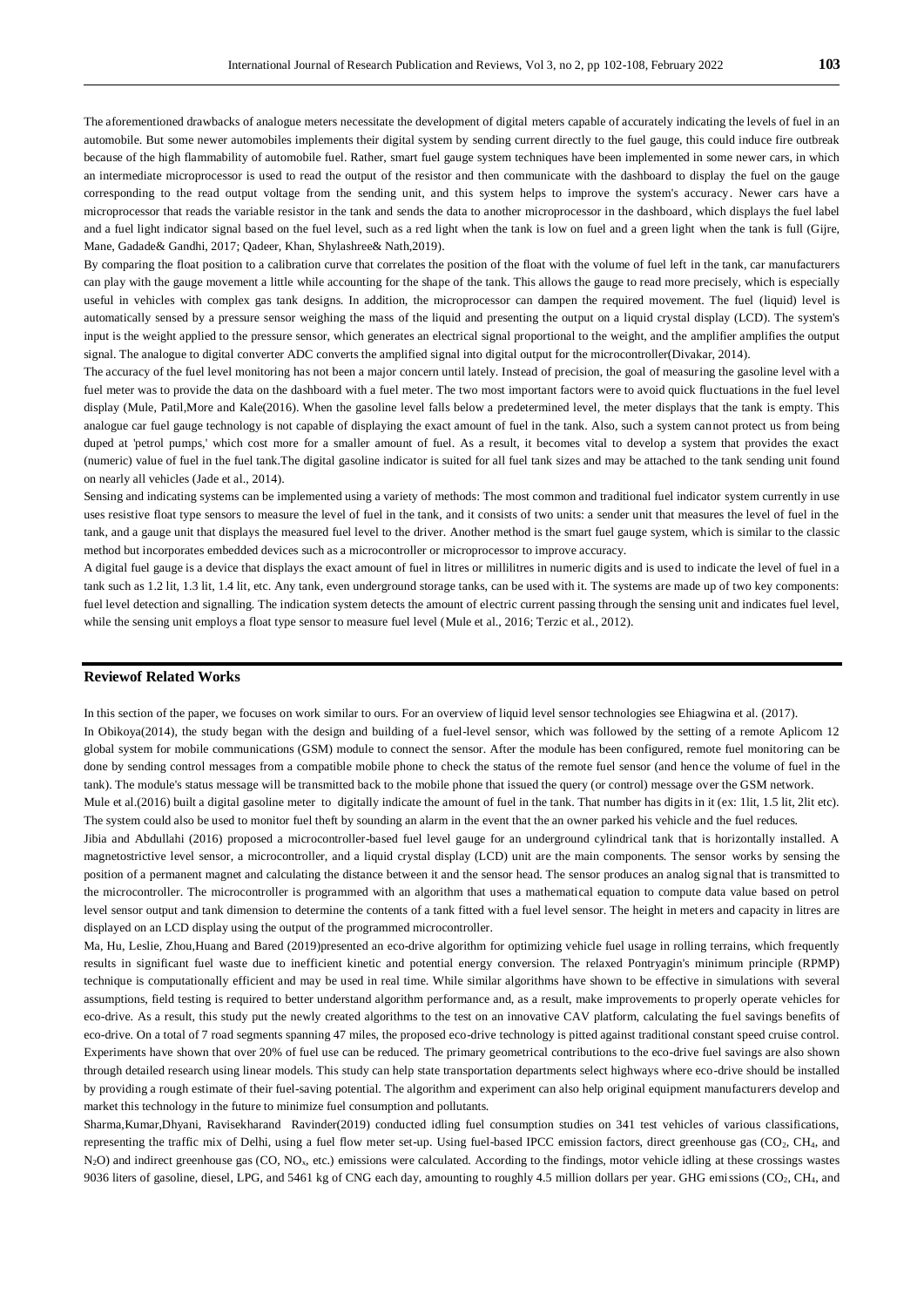The aforementioned drawbacks of analogue meters necessitate the development of digital meters capable of accurately indicating the levels of fuel in an automobile. But some newer automobiles implements their digital system by sending current directly to the fuel gauge, this could induce fire outbreak because of the high flammability of automobile fuel. Rather, smart fuel gauge system techniques have been implemented in some newer cars, in which an intermediate microprocessor is used to read the output of the resistor and then communicate with the dashboard to display the fuel on the gauge corresponding to the read output voltage from the sending unit, and this system helps to improve the system's accuracy. Newer cars have a microprocessor that reads the variable resistor in the tank and sends the data to another microprocessor in the dashboard, which displays the fuel label and a fuel light indicator signal based on the fuel level, such as a red light when the tank is low on fuel and a green light when the tank is full (Gijre, Mane, Gadade& Gandhi, 2017; Qadeer, Khan, Shylashree& Nath,2019).

By comparing the float position to a calibration curve that correlates the position of the float with the volume of fuel left in the tank, car manufacturers can play with the gauge movement a little while accounting for the shape of the tank. This allows the gauge to read more precisely, which is especially useful in vehicles with complex gas tank designs. In addition, the microprocessor can dampen the required movement. The fuel (liquid) level is automatically sensed by a pressure sensor weighing the mass of the liquid and presenting the output on a liquid crystal display (LCD). The system's input is the weight applied to the pressure sensor, which generates an electrical signal proportional to the weight, and the amplifier amplifies the output signal. The analogue to digital converter ADC converts the amplified signal into digital output for the microcontroller(Divakar, 2014).

The accuracy of the fuel level monitoring has not been a major concern until lately. Instead of precision, the goal of measuring the gasoline level with a fuel meter was to provide the data on the dashboard with a fuel meter. The two most important factors were to avoid quick fluctuations in the fuel level display (Mule, Patil,More and Kale(2016). When the gasoline level falls below a predetermined level, the meter displays that the tank is empty. This analogue car fuel gauge technology is not capable of displaying the exact amount of fuel in the tank. Also, such a system cannot protect us from being duped at 'petrol pumps,' which cost more for a smaller amount of fuel. As a result, it becomes vital to develop a system that provides the exact (numeric) value of fuel in the fuel tank.The digital gasoline indicator is suited for all fuel tank sizes and may be attached to the tank sending unit found on nearly all vehicles (Jade et al., 2014).

Sensing and indicating systems can be implemented using a variety of methods: The most common and traditional fuel indicator system currently in use uses resistive float type sensors to measure the level of fuel in the tank, and it consists of two units: a sender unit that measures the level of fuel in the tank, and a gauge unit that displays the measured fuel level to the driver. Another method is the smart fuel gauge system, which is similar to the classic method but incorporates embedded devices such as a microcontroller or microprocessor to improve accuracy.

A digital fuel gauge is a device that displays the exact amount of fuel in litres or millilitres in numeric digits and is used to indicate the level of fuel in a tank such as 1.2 lit, 1.3 lit, 1.4 lit, etc. Any tank, even underground storage tanks, can be used with it. The systems are made up of two key components: fuel level detection and signalling. The indication system detects the amount of electric current passing through the sensing unit and indicates fuel level, while the sensing unit employs a float type sensor to measure fuel level (Mule et al., 2016; Terzic et al., 2012).

## **Reviewof Related Works**

In this section of the paper, we focuses on work similar to ours. For an overview of liquid level sensor technologies see Ehiagwina et al. (2017). In Obikoya(2014), the study began with the design and building of a fuel-level sensor, which was followed by the setting of a remote Aplicom 12 global system for mobile communications (GSM) module to connect the sensor. After the module has been configured, remote fuel monitoring can be done by sending control messages from a compatible mobile phone to check the status of the remote fuel sensor (and hence the volume of fuel in the tank). The module's status message will be transmitted back to the mobile phone that issued the query (or control) message over the GSM network.

Mule et al.(2016) built a digital gasoline meter to digitally indicate the amount of fuel in the tank. That number has digits in it (ex: 1lit, 1.5 lit, 2lit etc). The system could also be used to monitor fuel theft by sounding an alarm in the event that the an owner parked his vehicle and the fuel reduces.

Jibia and Abdullahi (2016) proposed a microcontroller-based fuel level gauge for an underground cylindrical tank that is horizontally installed. A magnetostrictive level sensor, a microcontroller, and a liquid crystal display (LCD) unit are the main components. The sensor works by sensing the position of a permanent magnet and calculating the distance between it and the sensor head. The sensor produces an analog signal that is transmitted to the microcontroller. The microcontroller is programmed with an algorithm that uses a mathematical equation to compute data value based on petrol level sensor output and tank dimension to determine the contents of a tank fitted with a fuel level sensor. The height in meters and capacity in litres are displayed on an LCD display using the output of the programmed microcontroller.

Ma, Hu, Leslie, Zhou,Huang and Bared (2019)presented an eco-drive algorithm for optimizing vehicle fuel usage in rolling terrains, which frequently results in significant fuel waste due to inefficient kinetic and potential energy conversion. The relaxed Pontryagin's minimum principle (RPMP) technique is computationally efficient and may be used in real time. While similar algorithms have shown to be effective in simulations with several assumptions, field testing is required to better understand algorithm performance and, as a result, make improvements to properly operate vehicles for eco-drive. As a result, this study put the newly created algorithms to the test on an innovative CAV platform, calculating the fuel savings benefits of eco-drive. On a total of 7 road segments spanning 47 miles, the proposed eco-drive technology is pitted against traditional constant speed cruise control. Experiments have shown that over 20% of fuel use can be reduced. The primary geometrical contributions to the eco-drive fuel savings are also shown through detailed research using linear models. This study can help state transportation departments select highways where eco-drive should be installed by providing a rough estimate of their fuel-saving potential. The algorithm and experiment can also help original equipment manufacturers develop and market this technology in the future to minimize fuel consumption and pollutants.

Sharma,Kumar,Dhyani, Ravisekharand Ravinder(2019) conducted idling fuel consumption studies on 341 test vehicles of various classifications, representing the traffic mix of Delhi, using a fuel flow meter set-up. Using fuel-based IPCC emission factors, direct greenhouse gas (CO2, CH4, and N<sub>2</sub>O) and indirect greenhouse gas (CO, NO<sub>x</sub>, etc.) emissions were calculated. According to the findings, motor vehicle idling at these crossings wastes 9036 liters of gasoline, diesel, LPG, and 5461 kg of CNG each day, amounting to roughly 4.5 million dollars per year. GHG emissions (CO<sub>2</sub>, CH<sub>4</sub>, and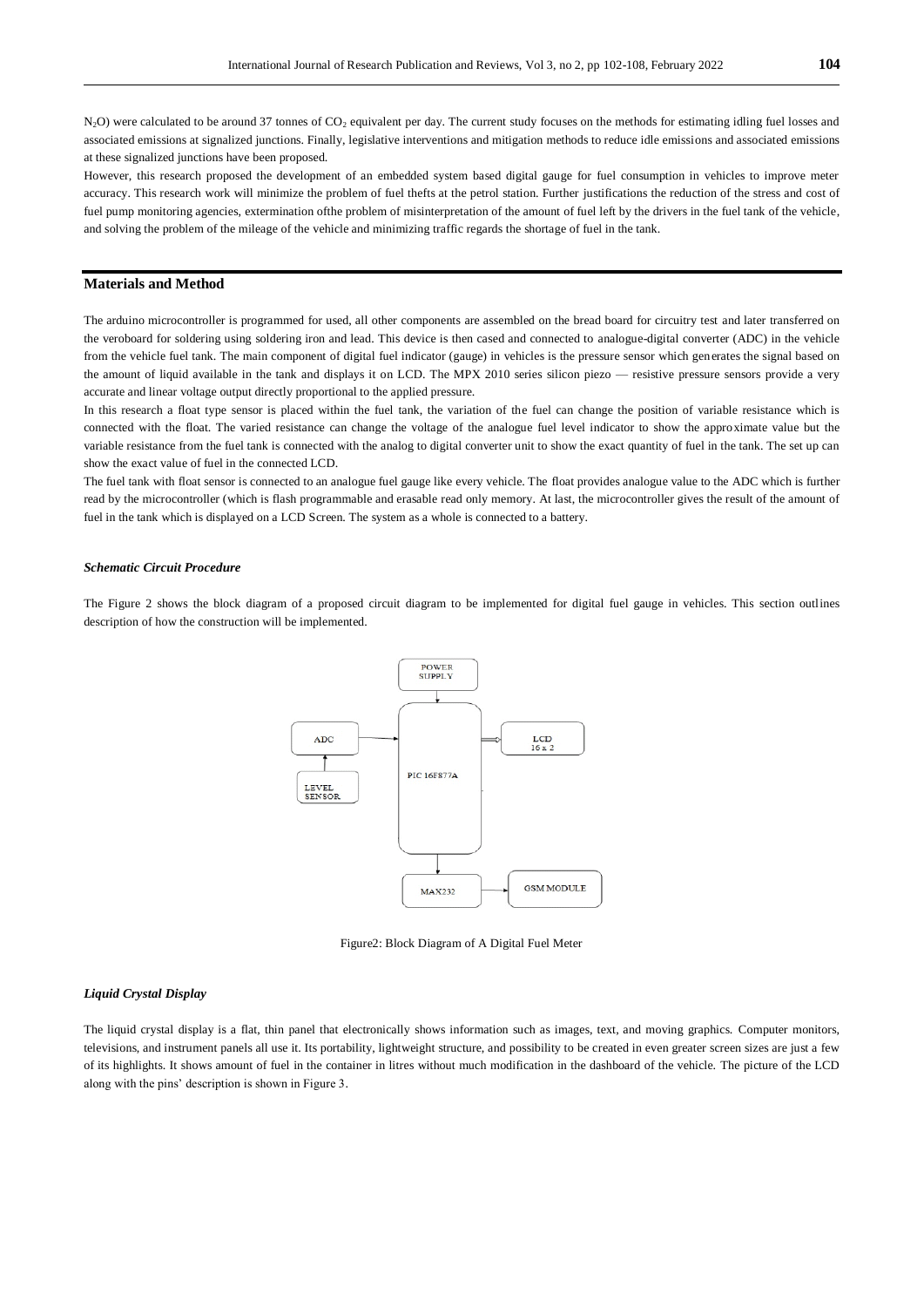$N_2$ O) were calculated to be around 37 tonnes of  $CO_2$  equivalent per day. The current study focuses on the methods for estimating idling fuel losses and associated emissions at signalized junctions. Finally, legislative interventions and mitigation methods to reduce idle emissions and associated emissions at these signalized junctions have been proposed.

However, this research proposed the development of an embedded system based digital gauge for fuel consumption in vehicles to improve meter accuracy. This research work will minimize the problem of fuel thefts at the petrol station. Further justifications the reduction of the stress and cost of fuel pump monitoring agencies, extermination ofthe problem of misinterpretation of the amount of fuel left by the drivers in the fuel tank of the vehicle, and solving the problem of the mileage of the vehicle and minimizing traffic regards the shortage of fuel in the tank.

## **Materials and Method**

The arduino microcontroller is programmed for used, all other components are assembled on the bread board for circuitry test and later transferred on the veroboard for soldering using soldering iron and lead. This device is then cased and connected to analogue-digital converter (ADC) in the vehicle from the vehicle fuel tank. The main component of digital fuel indicator (gauge) in vehicles is the pressure sensor which generates the signal based on the amount of liquid available in the tank and displays it on LCD. The MPX 2010 series silicon piezo — resistive pressure sensors provide a very accurate and linear voltage output directly proportional to the applied pressure.

In this research a float type sensor is placed within the fuel tank, the variation of the fuel can change the position of variable resistance which is connected with the float. The varied resistance can change the voltage of the analogue fuel level indicator to show the approximate value but the variable resistance from the fuel tank is connected with the analog to digital converter unit to show the exact quantity of fuel in the tank. The set up can show the exact value of fuel in the connected LCD.

The fuel tank with float sensor is connected to an analogue fuel gauge like every vehicle. The float provides analogue value to the ADC which is further read by the microcontroller (which is flash programmable and erasable read only memory. At last, the microcontroller gives the result of the amount of fuel in the tank which is displayed on a LCD Screen. The system as a whole is connected to a battery.

#### *Schematic Circuit Procedure*

The Figure 2 shows the block diagram of a proposed circuit diagram to be implemented for digital fuel gauge in vehicles. This section outlines description of how the construction will be implemented.



Figure2: Block Diagram of A Digital Fuel Meter

## *Liquid Crystal Display*

The liquid crystal display is a flat, thin panel that electronically shows information such as images, text, and moving graphics. Computer monitors, televisions, and instrument panels all use it. Its portability, lightweight structure, and possibility to be created in even greater screen sizes are just a few of its highlights. It shows amount of fuel in the container in litres without much modification in the dashboard of the vehicle. The picture of the LCD along with the pins' description is shown in Figure 3.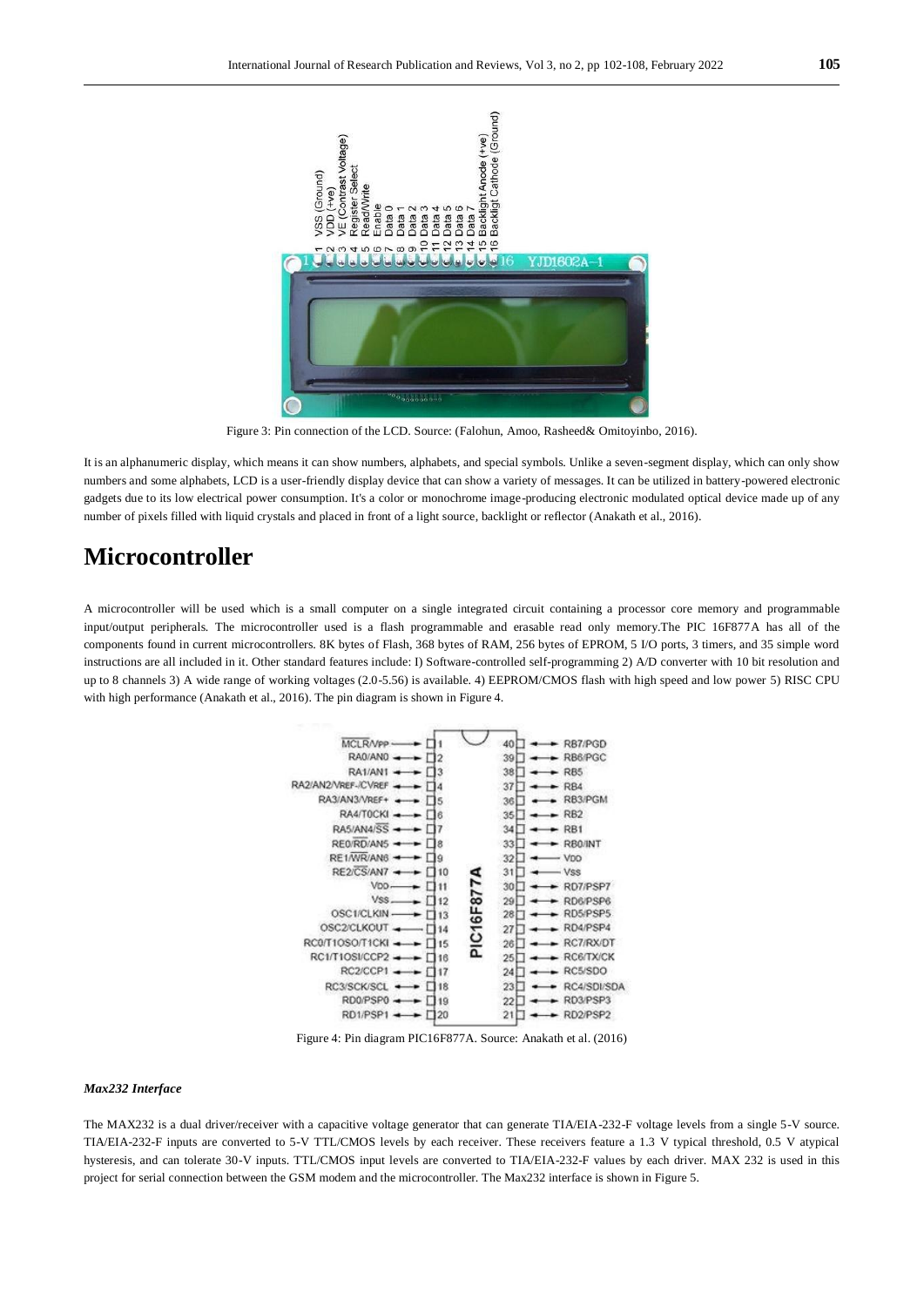

Figure 3: Pin connection of the LCD. Source: (Falohun, Amoo, Rasheed& Omitoyinbo, 2016).

It is an alphanumeric display, which means it can show numbers, alphabets, and special symbols. Unlike a seven-segment display, which can only show numbers and some alphabets, LCD is a user-friendly display device that can show a variety of messages. It can be utilized in battery-powered electronic gadgets due to its low electrical power consumption. It's a color or monochrome image-producing electronic modulated optical device made up of any number of pixels filled with liquid crystals and placed in front of a light source, backlight or reflector (Anakath et al., 2016).

## **Microcontroller**

A microcontroller will be used which is a small computer on a single integrated circuit containing a processor core memory and programmable input/output peripherals. The microcontroller used is a flash programmable and erasable read only memory.The PIC 16F877A has all of the components found in current microcontrollers. 8K bytes of Flash, 368 bytes of RAM, 256 bytes of EPROM, 5 I/O ports, 3 timers, and 35 simple word instructions are all included in it. Other standard features include: I) Software-controlled self-programming 2) A/D converter with 10 bit resolution and up to 8 channels 3) A wide range of working voltages (2.0-5.56) is available. 4) EEPROM/CMOS flash with high speed and low power 5) RISC CPU with high performance (Anakath et al., 2016). The pin diagram is shown in Figure 4.



Figure 4: Pin diagram PIC16F877A. Source: Anakath et al. (2016)

#### *Max232 Interface*

The MAX232 is a dual driver/receiver with a capacitive voltage generator that can generate TIA/EIA-232-F voltage levels from a single 5-V source. TIA/EIA-232-F inputs are converted to 5-V TTL/CMOS levels by each receiver. These receivers feature a 1.3 V typical threshold, 0.5 V atypical hysteresis, and can tolerate 30-V inputs. TTL/CMOS input levels are converted to TIA/EIA-232-F values by each driver. MAX 232 is used in this project for serial connection between the GSM modem and the microcontroller. The Max232 interface is shown in Figure 5.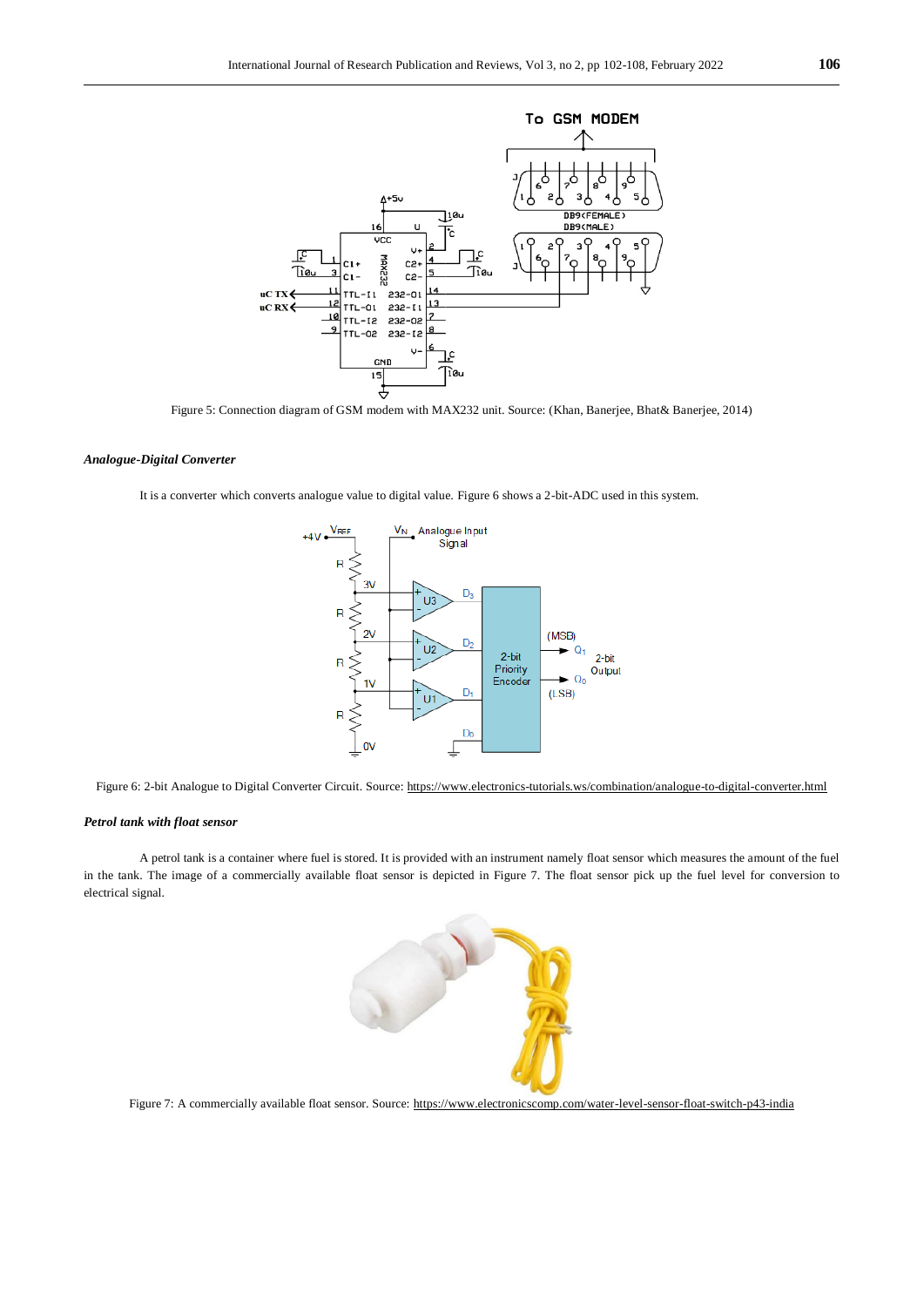

Figure 5: Connection diagram of GSM modem with MAX232 unit. Source: (Khan, Banerjee, Bhat& Banerjee, 2014)

## *Analogue-Digital Converter*

It is a converter which converts analogue value to digital value. Figure 6 shows a 2-bit-ADC used in this system.



Figure 6: 2-bit Analogue to Digital Converter Circuit. Source[: https://www.electronics-tutorials.ws/combination/analogue-to-digital-converter.html](https://www.electronics-tutorials.ws/combination/analogue-to-digital-converter.html)

## *Petrol tank with float sensor*

A petrol tank is a container where fuel is stored. It is provided with an instrument namely float sensor which measures the amount of the fuel in the tank. The image of a commercially available float sensor is depicted in Figure 7. The float sensor pick up the fuel level for conversion to electrical signal.



Figure 7: A commercially available float sensor. Source[: https://www.electronicscomp.com/water-level-sensor-float-switch-p43-india](https://www.electronicscomp.com/water-level-sensor-float-switch-p43-india)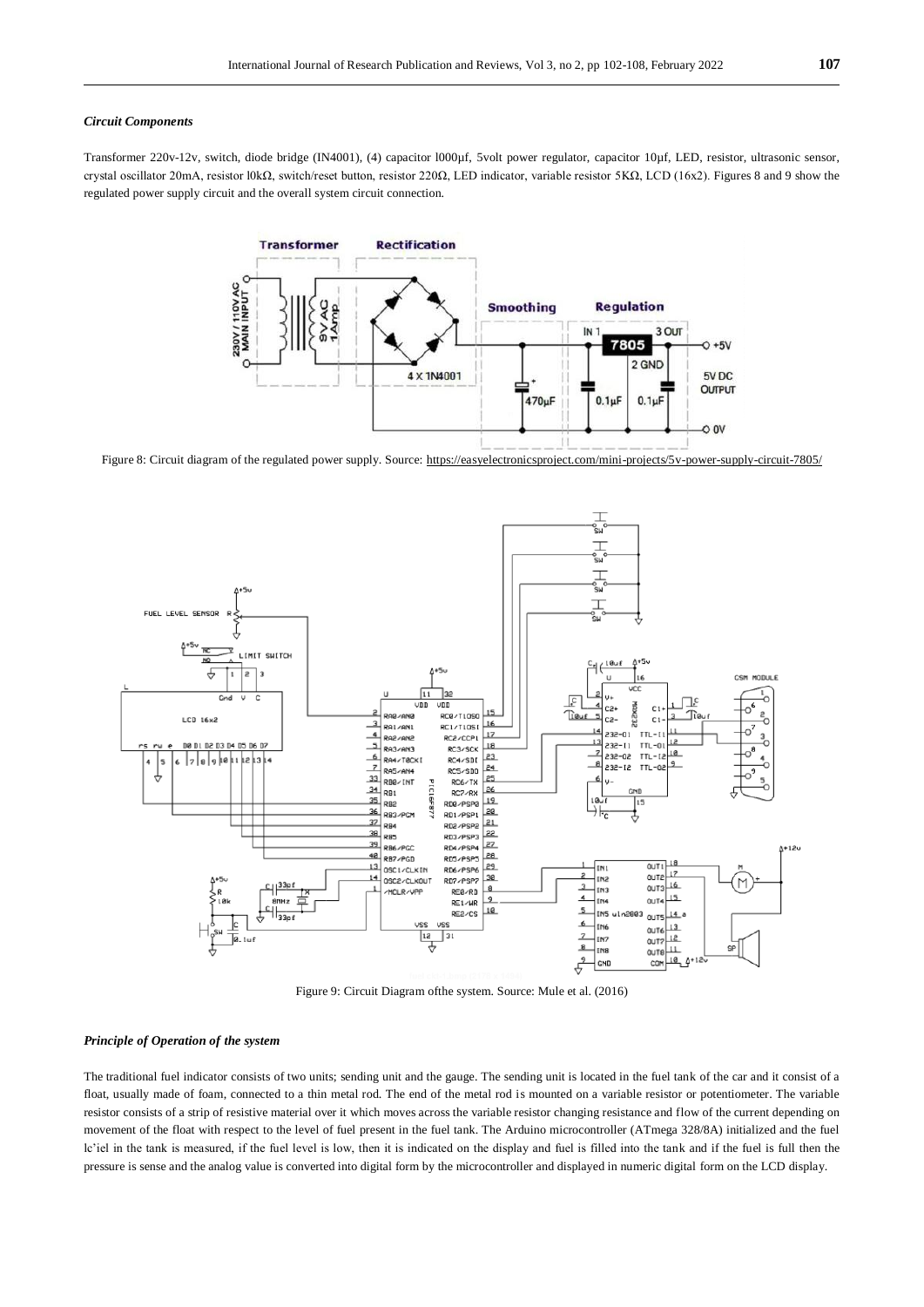#### *Circuit Components*

Transformer 220v-12v, switch, diode bridge (IN4001), (4) capacitor l000µf, 5volt power regulator, capacitor 10µf, LED, resistor, ultrasonic sensor, crystal oscillator 20mA, resistor l0kΩ, switch/reset button, resistor 220Ω, LED indicator, variable resistor 5KΩ, LCD (16x2). Figures 8 and 9 show the regulated power supply circuit and the overall system circuit connection.



Figure 8: Circuit diagram of the regulated power supply. Source:<https://easyelectronicsproject.com/mini-projects/5v-power-supply-circuit-7805/>



Figure 9: Circuit Diagram ofthe system. Source: Mule et al. (2016)

### *Principle of Operation of the system*

The traditional fuel indicator consists of two units; sending unit and the gauge. The sending unit is located in the fuel tank of the car and it consist of a float, usually made of foam, connected to a thin metal rod. The end of the metal rod is mounted on a variable resistor or potentiometer. The variable resistor consists of a strip of resistive material over it which moves across the variable resistor changing resistance and flow of the current depending on movement of the float with respect to the level of fuel present in the fuel tank. The Arduino microcontroller (ATmega 328/8A) initialized and the fuel lc'iel in the tank is measured, if the fuel level is low, then it is indicated on the display and fuel is filled into the tank and if the fuel is full then the pressure is sense and the analog value is converted into digital form by the microcontroller and displayed in numeric digital form on the LCD display.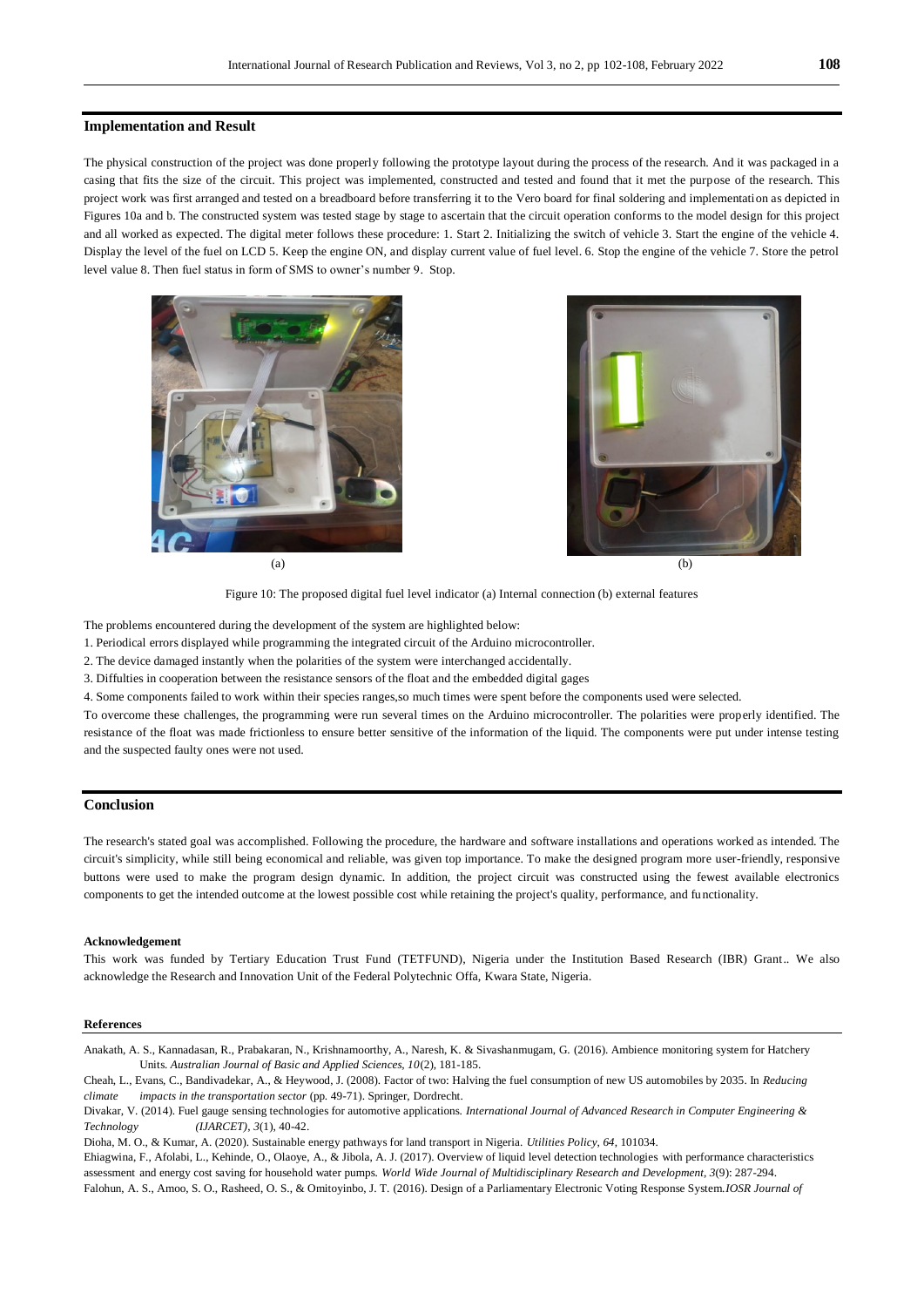#### **Implementation and Result**

The physical construction of the project was done properly following the prototype layout during the process of the research. And it was packaged in a casing that fits the size of the circuit. This project was implemented, constructed and tested and found that it met the purpose of the research. This project work was first arranged and tested on a breadboard before transferring it to the Vero board for final soldering and implementation as depicted in Figures 10a and b. The constructed system was tested stage by stage to ascertain that the circuit operation conforms to the model design for this project and all worked as expected. The digital meter follows these procedure: 1. Start 2. Initializing the switch of vehicle 3. Start the engine of the vehicle 4. Display the level of the fuel on LCD 5. Keep the engine ON, and display current value of fuel level. 6. Stop the engine of the vehicle 7. Store the petrol level value 8. Then fuel status in form of SMS to owner's number 9. Stop.





Figure 10: The proposed digital fuel level indicator (a) Internal connection (b) external features

The problems encountered during the development of the system are highlighted below:

1. Periodical errors displayed while programming the integrated circuit of the Arduino microcontroller.

2. The device damaged instantly when the polarities of the system were interchanged accidentally.

3. Diffulties in cooperation between the resistance sensors of the float and the embedded digital gages

4. Some components failed to work within their species ranges,so much times were spent before the components used were selected.

To overcome these challenges, the programming were run several times on the Arduino microcontroller. The polarities were properly identified. The resistance of the float was made frictionless to ensure better sensitive of the information of the liquid. The components were put under intense testing and the suspected faulty ones were not used.

### **Conclusion**

The research's stated goal was accomplished. Following the procedure, the hardware and software installations and operations worked as intended. The circuit's simplicity, while still being economical and reliable, was given top importance. To make the designed program more user-friendly, responsive buttons were used to make the program design dynamic. In addition, the project circuit was constructed using the fewest available electronics components to get the intended outcome at the lowest possible cost while retaining the project's quality, performance, and functionality.

#### **Acknowledgement**

This work was funded by Tertiary Education Trust Fund (TETFUND), Nigeria under the Institution Based Research (IBR) Grant.. We also acknowledge the Research and Innovation Unit of the Federal Polytechnic Offa, Kwara State, Nigeria.

#### **References**

Anakath, A. S., Kannadasan, R., Prabakaran, N., Krishnamoorthy, A., Naresh, K. & Sivashanmugam, G. (2016). Ambience monitoring system for Hatchery Units. *Australian Journal of Basic and Applied Sciences, 10*(2), 181-185.

Cheah, L., Evans, C., Bandivadekar, A., & Heywood, J. (2008). Factor of two: Halving the fuel consumption of new US automobiles by 2035. In *Reducing climate impacts in the transportation sector* (pp. 49-71). Springer, Dordrecht.

Ehiagwina, F., Afolabi, L., Kehinde, O., Olaoye, A., & Jibola, A. J. (2017). Overview of liquid level detection technologies with performance characteristics assessment and energy cost saving for household water pumps. *World Wide Journal of Multidisciplinary Research and Development, 3*(9): 287-294. Falohun, A. S., Amoo, S. O., Rasheed, O. S., & Omitoyinbo, J. T. (2016). Design of a Parliamentary Electronic Voting Response System.*IOSR Journal of* 

Divakar, V. (2014). Fuel gauge sensing technologies for automotive applications. *International Journal of Advanced Research in Computer Engineering & Technology (IJARCET)*, *3*(1), 40-42.

Dioha, M. O., & Kumar, A. (2020). Sustainable energy pathways for land transport in Nigeria. *Utilities Policy*, *64*, 101034.